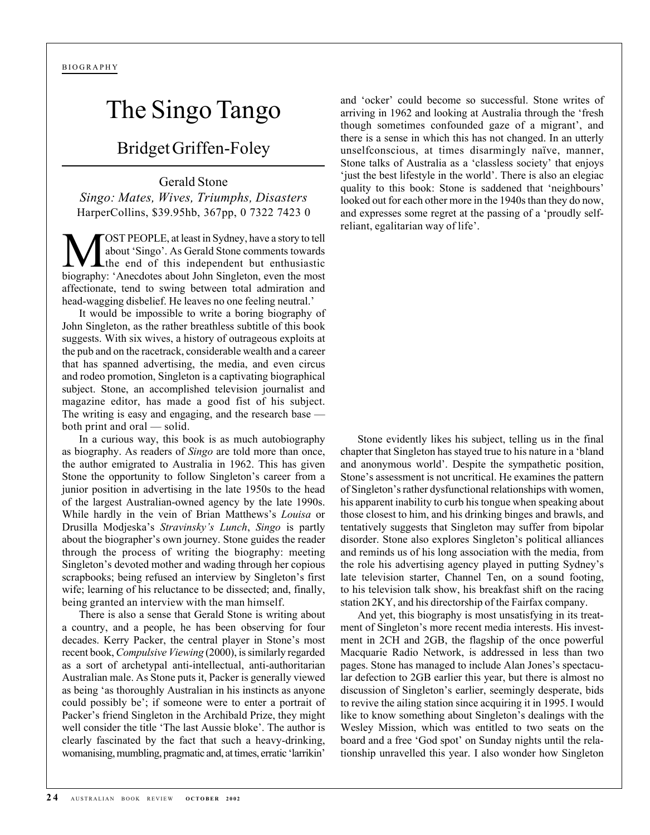## The Singo Tango

## Bridget Griffen-Foley

Gerald Stone *Singo: Mates, Wives, Triumphs, Disasters* HarperCollins, \$39.95hb, 367pp, 0 7322 7423 0

**MOST PEOPLE, at least in Sydney, have a story to tell**<br>about 'Singo'. As Gerald Stone comments towards<br>biography: 'A peodotes about John Singlaton, even the most about 'Singo'. As Gerald Stone comments towards the end of this independent but enthusiastic biography: 'Anecdotes about John Singleton, even the most affectionate, tend to swing between total admiration and head-wagging disbelief. He leaves no one feeling neutral.'

It would be impossible to write a boring biography of John Singleton, as the rather breathless subtitle of this book suggests. With six wives, a history of outrageous exploits at the pub and on the racetrack, considerable wealth and a career that has spanned advertising, the media, and even circus and rodeo promotion, Singleton is a captivating biographical subject. Stone, an accomplished television journalist and magazine editor, has made a good fist of his subject. The writing is easy and engaging, and the research base both print and oral — solid.

In a curious way, this book is as much autobiography as biography. As readers of *Singo* are told more than once, the author emigrated to Australia in 1962. This has given Stone the opportunity to follow Singleton's career from a junior position in advertising in the late 1950s to the head of the largest Australian-owned agency by the late 1990s. While hardly in the vein of Brian Matthews's *Louisa* or Drusilla Modjeska's *Stravinsky's Lunch*, *Singo* is partly about the biographer's own journey. Stone guides the reader through the process of writing the biography: meeting Singleton's devoted mother and wading through her copious scrapbooks; being refused an interview by Singleton's first wife; learning of his reluctance to be dissected; and, finally, being granted an interview with the man himself.

There is also a sense that Gerald Stone is writing about a country, and a people, he has been observing for four decades. Kerry Packer, the central player in Stone's most recent book, *Compulsive Viewing* (2000), is similarly regarded as a sort of archetypal anti-intellectual, anti-authoritarian Australian male. As Stone puts it, Packer is generally viewed as being 'as thoroughly Australian in his instincts as anyone could possibly be'; if someone were to enter a portrait of Packer's friend Singleton in the Archibald Prize, they might well consider the title 'The last Aussie bloke'. The author is clearly fascinated by the fact that such a heavy-drinking, womanising, mumbling, pragmatic and, at times, erratic 'larrikin'

and 'ocker' could become so successful. Stone writes of arriving in 1962 and looking at Australia through the 'fresh though sometimes confounded gaze of a migrant', and there is a sense in which this has not changed. In an utterly unselfconscious, at times disarmingly naïve, manner, Stone talks of Australia as a 'classless society' that enjoys 'just the best lifestyle in the world'. There is also an elegiac quality to this book: Stone is saddened that 'neighbours' looked out for each other more in the 1940s than they do now, and expresses some regret at the passing of a 'proudly selfreliant, egalitarian way of life'.

Stone evidently likes his subject, telling us in the final chapter that Singleton has stayed true to his nature in a 'bland and anonymous world'. Despite the sympathetic position, Stone's assessment is not uncritical. He examines the pattern of Singleton's rather dysfunctional relationships with women, his apparent inability to curb his tongue when speaking about those closest to him, and his drinking binges and brawls, and tentatively suggests that Singleton may suffer from bipolar disorder. Stone also explores Singleton's political alliances and reminds us of his long association with the media, from the role his advertising agency played in putting Sydney's late television starter, Channel Ten, on a sound footing, to his television talk show, his breakfast shift on the racing station 2KY, and his directorship of the Fairfax company.

And yet, this biography is most unsatisfying in its treatment of Singleton's more recent media interests. His investment in 2CH and 2GB, the flagship of the once powerful Macquarie Radio Network, is addressed in less than two pages. Stone has managed to include Alan Jones's spectacular defection to 2GB earlier this year, but there is almost no discussion of Singleton's earlier, seemingly desperate, bids to revive the ailing station since acquiring it in 1995. I would like to know something about Singleton's dealings with the Wesley Mission, which was entitled to two seats on the board and a free 'God spot' on Sunday nights until the relationship unravelled this year. I also wonder how Singleton